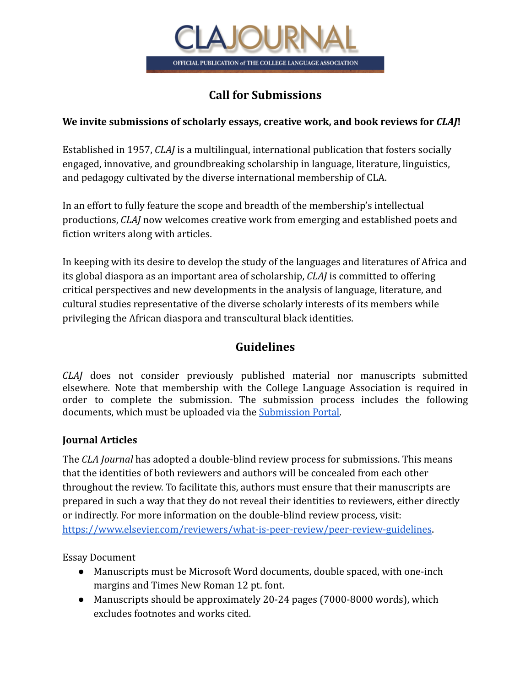

## **Call for Submissions**

#### **We invite submissions of scholarly essays, creative work, and book reviews for** *CLAJ***!**

Established in 1957, *CLAJ* is a multilingual, international publication that fosters socially engaged, innovative, and groundbreaking scholarship in language, literature, linguistics, and pedagogy cultivated by the diverse international membership of CLA.

In an effort to fully feature the scope and breadth of the membership's intellectual productions, *CLAJ* now welcomes creative work from emerging and established poets and fiction writers along with articles.

In keeping with its desire to develop the study of the languages and literatures of Africa and its global diaspora as an important area of scholarship, *CLAJ* is committed to offering critical perspectives and new developments in the analysis of language, literature, and cultural studies representative of the diverse scholarly interests of its members while privileging the African diaspora and transcultural black identities.

# **Guidelines**

*CLAJ* does not consider previously published material nor manuscripts submitted elsewhere. Note that membership with the College Language Association is required in order to complete the submission. The submission process includes the following documents, which must be uploaded via the [Submission](https://claa.memberclicks.net/index.php?option=com_mcform&view=ngforms&id=2066704) Portal.

#### **Journal Articles**

The *CLA Journal* has adopted a double-blind review process for submissions. This means that the identities of both reviewers and authors will be concealed from each other throughout the review. To facilitate this, authors must ensure that their manuscripts are prepared in such a way that they do not reveal their identities to reviewers, either directly or indirectly. For more information on the double-blind review process, visit: <https://www.elsevier.com/reviewers/what-is-peer-review/peer-review-guidelines>.

Essay Document

- Manuscripts must be Microsoft Word documents, double spaced, with one-inch margins and Times New Roman 12 pt. font.
- Manuscripts should be approximately 20-24 pages (7000-8000 words), which excludes footnotes and works cited.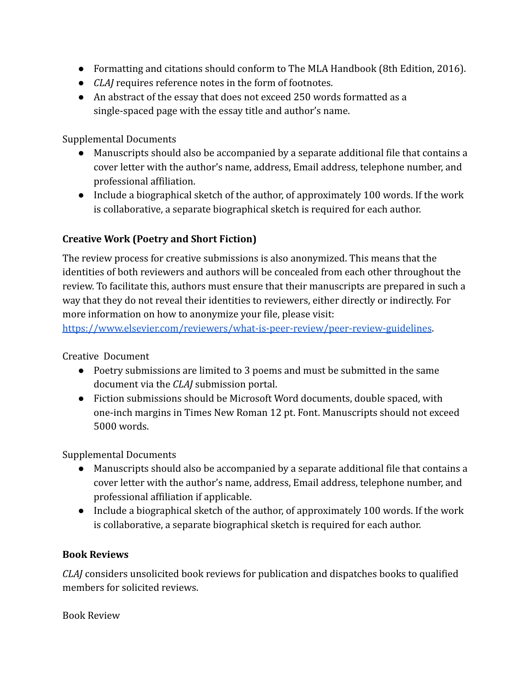- Formatting and citations should conform to The MLA Handbook (8th Edition, 2016).
- *CLAJ* requires reference notes in the form of footnotes.
- An abstract of the essay that does not exceed 250 words formatted as a single-spaced page with the essay title and author's name.

Supplemental Documents

- Manuscripts should also be accompanied by a separate additional file that contains a cover letter with the author's name, address, Email address, telephone number, and professional affiliation.
- Include a biographical sketch of the author, of approximately 100 words. If the work is collaborative, a separate biographical sketch is required for each author.

### **Creative Work (Poetry and Short Fiction)**

The review process for creative submissions is also anonymized. This means that the identities of both reviewers and authors will be concealed from each other throughout the review. To facilitate this, authors must ensure that their manuscripts are prepared in such a way that they do not reveal their identities to reviewers, either directly or indirectly. For more information on how to anonymize your file, please visit:

<https://www.elsevier.com/reviewers/what-is-peer-review/peer-review-guidelines>.

Creative Document

- Poetry submissions are limited to 3 poems and must be submitted in the same document via the *CLAJ* submission portal.
- Fiction submissions should be Microsoft Word documents, double spaced, with one-inch margins in Times New Roman 12 pt. Font. Manuscripts should not exceed 5000 words.

Supplemental Documents

- Manuscripts should also be accompanied by a separate additional file that contains a cover letter with the author's name, address, Email address, telephone number, and professional affiliation if applicable.
- Include a biographical sketch of the author, of approximately 100 words. If the work is collaborative, a separate biographical sketch is required for each author.

#### **Book Reviews**

*CLAJ* considers unsolicited book reviews for publication and dispatches books to qualified members for solicited reviews.

Book Review